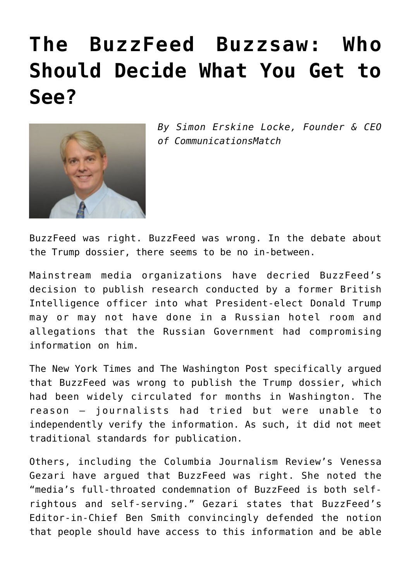## **[The BuzzFeed Buzzsaw: Who](https://www.commpro.biz/the-buzzfeed-buzzsaw-who-should-decide-what-you-get-to-see/) [Should Decide What You Get to](https://www.commpro.biz/the-buzzfeed-buzzsaw-who-should-decide-what-you-get-to-see/) [See?](https://www.commpro.biz/the-buzzfeed-buzzsaw-who-should-decide-what-you-get-to-see/)**



*By Simon Erskine Locke, Founder & CEO of [CommunicationsMatch](https://www.communicationsmatch.com/)*

BuzzFeed was right. BuzzFeed was wrong. In the debate about the Trump dossier, there seems to be no in-between.

Mainstream media organizations have decried BuzzFeed's decision to publish research conducted by a former British Intelligence officer into what President-elect Donald Trump may or may not have done in a Russian hotel room and allegations that the Russian Government had compromising information on him.

The New York Times and The Washington Post specifically argued that BuzzFeed was wrong to publish the Trump dossier, which had been widely circulated for months in Washington. The reason – journalists had tried but were unable to independently verify the information. As such, it did not meet traditional standards for publication.

Others, including the Columbia Journalism Review's Venessa Gezari have argued that BuzzFeed was right. She noted the "media's full-throated condemnation of BuzzFeed is both selfrightous and self-serving." Gezari states that BuzzFeed's Editor-in-Chief Ben Smith convincingly defended the notion that people should have access to this information and be able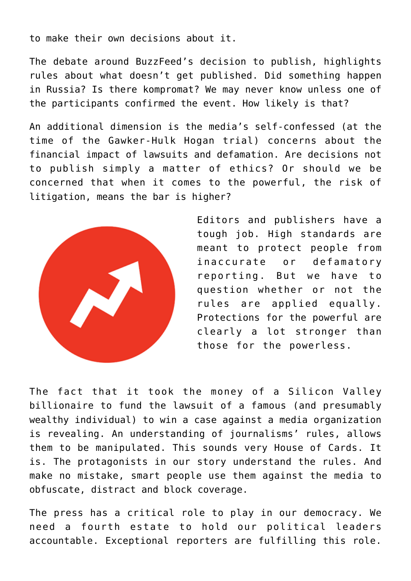to make their own decisions about it.

The debate around BuzzFeed's decision to publish, highlights rules about what doesn't get published. Did something happen in Russia? Is there kompromat? We may never know unless one of the participants confirmed the event. How likely is that?

An additional dimension is the media's self-confessed (at the time of the Gawker-Hulk Hogan trial) concerns about the financial impact of lawsuits and defamation. Are decisions not to publish simply a matter of ethics? Or should we be concerned that when it comes to the powerful, the risk of litigation, means the bar is higher?



Editors and publishers have a tough job. High standards are meant to protect people from inaccurate or defamatory reporting. But we have to question whether or not the rules are applied equally. Protections for the powerful are clearly a lot stronger than those for the powerless.

The fact that it took the money of a Silicon Valley billionaire to fund the lawsuit of a famous (and presumably wealthy individual) to win a case against a media organization is revealing. An understanding of journalisms' rules, allows them to be manipulated. This sounds very House of Cards. It is. The protagonists in our story understand the rules. And make no mistake, smart people use them against the media to obfuscate, distract and block coverage.

The press has a critical role to play in our democracy. We need a fourth estate to hold our political leaders accountable. Exceptional reporters are fulfilling this role.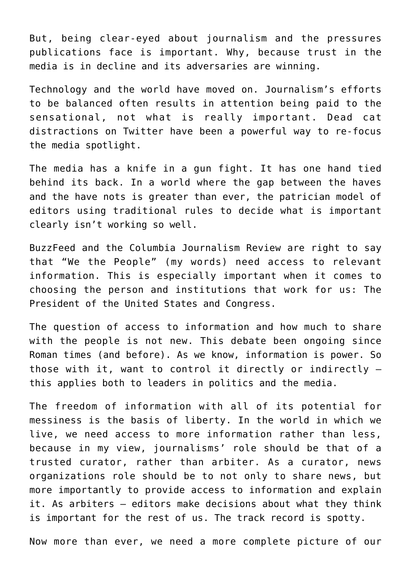But, being clear-eyed about journalism and the pressures publications face is important. Why, because trust in the media is in decline and its adversaries are winning.

Technology and the world have moved on. Journalism's efforts to be balanced often results in attention being paid to the sensational, not what is really important. Dead cat distractions on Twitter have been a powerful way to re-focus the media spotlight.

The media has a knife in a gun fight. It has one hand tied behind its back. In a world where the gap between the haves and the have nots is greater than ever, the patrician model of editors using traditional rules to decide what is important clearly isn't working so well.

BuzzFeed and the Columbia Journalism Review are right to say that "We the People" (my words) need access to relevant information. This is especially important when it comes to choosing the person and institutions that work for us: The President of the United States and Congress.

The question of access to information and how much to share with the people is not new. This debate been ongoing since Roman times (and before). As we know, information is power. So those with it, want to control it directly or indirectly – this applies both to leaders in politics and the media.

The freedom of information with all of its potential for messiness is the basis of liberty. In the world in which we live, we need access to more information rather than less, because in my view, journalisms' role should be that of a trusted curator, rather than arbiter. As a curator, news organizations role should be to not only to share news, but more importantly to provide access to information and explain it. As arbiters – editors make decisions about what they think is important for the rest of us. The track record is spotty.

Now more than ever, we need a more complete picture of our